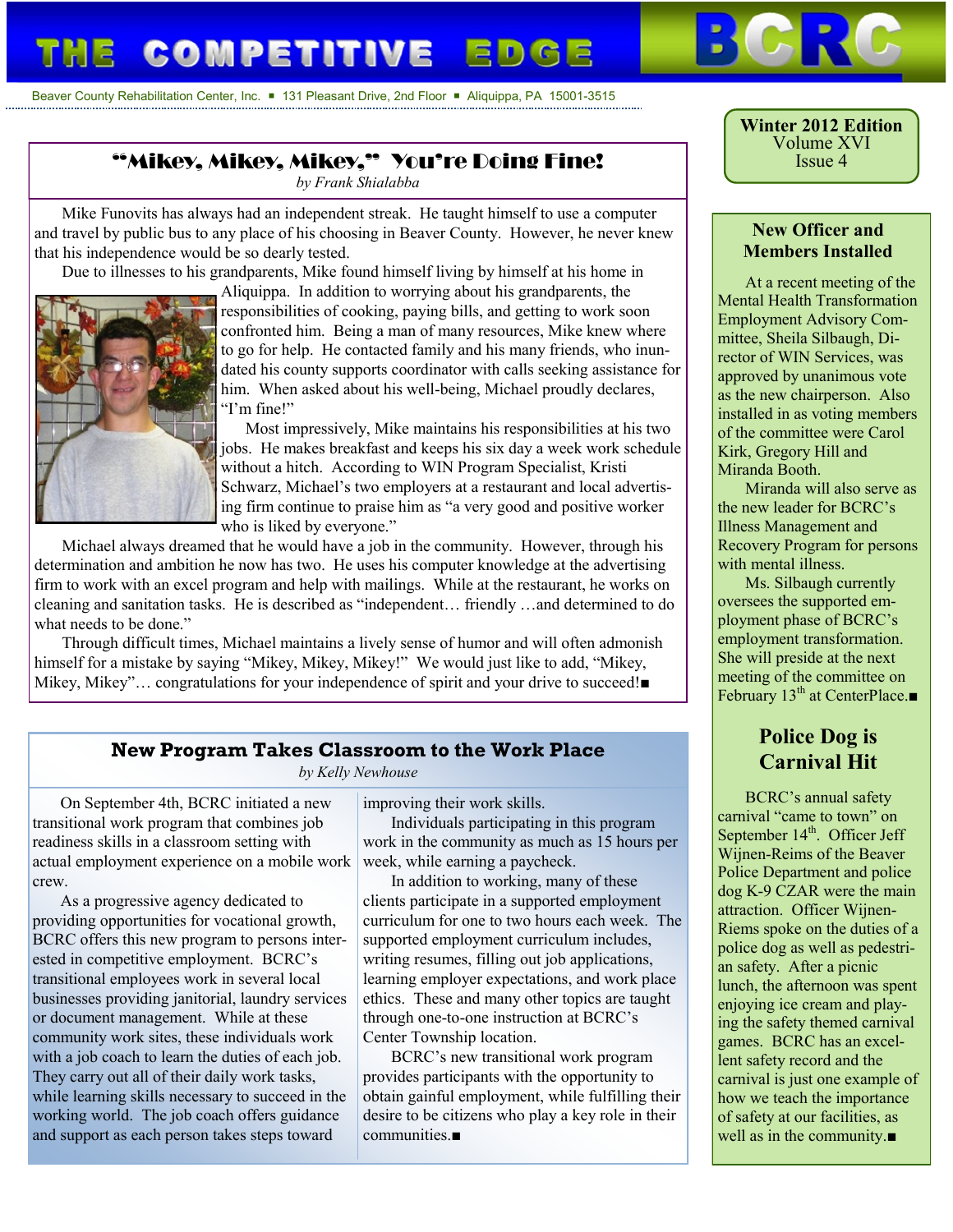# **COMPETITIVE ED**

Beaver County Rehabilitation Center, Inc.  $\blacksquare$  131 Pleasant Drive, 2nd Floor  $\blacksquare$  Aliquippa, PA 15001-3515

## "Mikey, Mikey, Mikey," You're Doing Fine!

*by Frank Shialabba*

Mike Funovits has always had an independent streak. He taught himself to use a computer and travel by public bus to any place of his choosing in Beaver County. However, he never knew that his independence would be so dearly tested.

Due to illnesses to his grandparents, Mike found himself living by himself at his home in



Aliquippa. In addition to worrying about his grandparents, the responsibilities of cooking, paying bills, and getting to work soon confronted him. Being a man of many resources, Mike knew where to go for help. He contacted family and his many friends, who inundated his county supports coordinator with calls seeking assistance for him. When asked about his well-being, Michael proudly declares, "I'm fine!"

 Most impressively, Mike maintains his responsibilities at his two jobs. He makes breakfast and keeps his six day a week work schedule without a hitch. According to WIN Program Specialist, Kristi Schwarz, Michael's two employers at a restaurant and local advertising firm continue to praise him as "a very good and positive worker who is liked by everyone."

Michael always dreamed that he would have a job in the community. However, through his determination and ambition he now has two. He uses his computer knowledge at the advertising firm to work with an excel program and help with mailings. While at the restaurant, he works on cleaning and sanitation tasks. He is described as "independent… friendly …and determined to do what needs to be done."

Through difficult times, Michael maintains a lively sense of humor and will often admonish himself for a mistake by saying "Mikey, Mikey, Mikey!" We would just like to add, "Mikey, Mikey, Mikey"... congratulations for your independence of spirit and your drive to succeed!■

#### **New Program Takes Classroom to the Work Place**

*by Kelly Newhouse*

On September 4th, BCRC initiated a new transitional work program that combines job readiness skills in a classroom setting with actual employment experience on a mobile work crew.

As a progressive agency dedicated to providing opportunities for vocational growth, BCRC offers this new program to persons interested in competitive employment. BCRC's transitional employees work in several local businesses providing janitorial, laundry services or document management. While at these community work sites, these individuals work with a job coach to learn the duties of each job. They carry out all of their daily work tasks, while learning skills necessary to succeed in the working world. The job coach offers guidance and support as each person takes steps toward

improving their work skills.

Individuals participating in this program work in the community as much as 15 hours per week, while earning a paycheck.

In addition to working, many of these clients participate in a supported employment curriculum for one to two hours each week. The supported employment curriculum includes, writing resumes, filling out job applications, learning employer expectations, and work place ethics. These and many other topics are taught through one-to-one instruction at BCRC's Center Township location.

BCRC's new transitional work program provides participants with the opportunity to obtain gainful employment, while fulfilling their desire to be citizens who play a key role in their communities.■

**Winter 2012 Edition** Volume XVI Issue 4

#### **New Officer and Members Installed**

At a recent meeting of the Mental Health Transformation Employment Advisory Committee, Sheila Silbaugh, Director of WIN Services, was approved by unanimous vote as the new chairperson. Also installed in as voting members of the committee were Carol Kirk, Gregory Hill and Miranda Booth.

Miranda will also serve as the new leader for BCRC's Illness Management and Recovery Program for persons with mental illness.

Ms. Silbaugh currently oversees the supported employment phase of BCRC's employment transformation. She will preside at the next meeting of the committee on February 13<sup>th</sup> at CenterPlace.■

### **Police Dog is Carnival Hit**

BCRC's annual safety carnival "came to town" on September  $14<sup>th</sup>$ . Officer Jeff Wijnen-Reims of the Beaver Police Department and police dog K-9 CZAR were the main attraction. Officer Wijnen-Riems spoke on the duties of a police dog as well as pedestrian safety. After a picnic lunch, the afternoon was spent enjoying ice cream and playing the safety themed carnival games. BCRC has an excellent safety record and the carnival is just one example of how we teach the importance of safety at our facilities, as well as in the community.■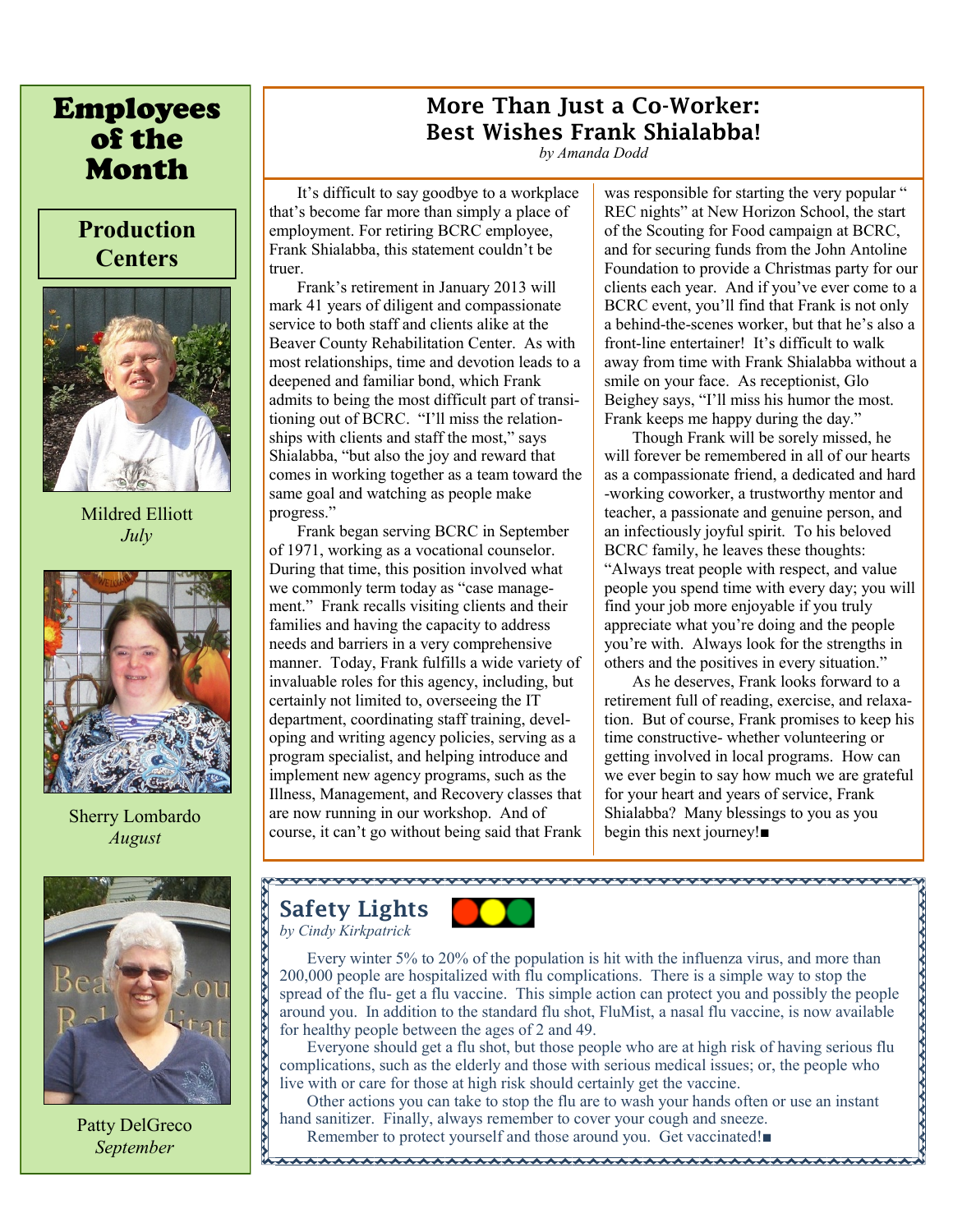# Employees of the Month

# **Production Centers**



Mildred Elliott *July*



Sherry Lombardo *August*



Patty DelGreco *September*

### **More Than Just a Co-Worker: Best Wishes Frank Shialabba!**

*by Amanda Dodd*

It's difficult to say goodbye to a workplace that's become far more than simply a place of employment. For retiring BCRC employee, Frank Shialabba, this statement couldn't be truer.

Frank's retirement in January 2013 will mark 41 years of diligent and compassionate service to both staff and clients alike at the Beaver County Rehabilitation Center. As with most relationships, time and devotion leads to a deepened and familiar bond, which Frank admits to being the most difficult part of transitioning out of BCRC. "I'll miss the relationships with clients and staff the most," says Shialabba, "but also the joy and reward that comes in working together as a team toward the same goal and watching as people make progress."

Frank began serving BCRC in September of 1971, working as a vocational counselor. During that time, this position involved what we commonly term today as "case management." Frank recalls visiting clients and their families and having the capacity to address needs and barriers in a very comprehensive manner. Today, Frank fulfills a wide variety of invaluable roles for this agency, including, but certainly not limited to, overseeing the IT department, coordinating staff training, developing and writing agency policies, serving as a program specialist, and helping introduce and implement new agency programs, such as the Illness, Management, and Recovery classes that are now running in our workshop. And of course, it can't go without being said that Frank

was responsible for starting the very popular " REC nights" at New Horizon School, the start of the Scouting for Food campaign at BCRC, and for securing funds from the John Antoline Foundation to provide a Christmas party for our clients each year. And if you've ever come to a BCRC event, you'll find that Frank is not only a behind-the-scenes worker, but that he's also a front-line entertainer! It's difficult to walk away from time with Frank Shialabba without a smile on your face. As receptionist, Glo Beighey says, "I'll miss his humor the most. Frank keeps me happy during the day."

Though Frank will be sorely missed, he will forever be remembered in all of our hearts as a compassionate friend, a dedicated and hard -working coworker, a trustworthy mentor and teacher, a passionate and genuine person, and an infectiously joyful spirit. To his beloved BCRC family, he leaves these thoughts: "Always treat people with respect, and value people you spend time with every day; you will find your job more enjoyable if you truly appreciate what you're doing and the people you're with. Always look for the strengths in others and the positives in every situation."

As he deserves, Frank looks forward to a retirement full of reading, exercise, and relaxation. But of course, Frank promises to keep his time constructive- whether volunteering or getting involved in local programs. How can we ever begin to say how much we are grateful for your heart and years of service, Frank Shialabba? Many blessings to you as you begin this next journey!■

#### **Safety Lights** *by Cindy Kirkpatrick*



Every winter 5% to 20% of the population is hit with the influenza virus, and more than 200,000 people are hospitalized with flu complications. There is a simple way to stop the spread of the flu- get a flu vaccine. This simple action can protect you and possibly the people around you. In addition to the standard flu shot, FluMist, a nasal flu vaccine, is now available for healthy people between the ages of 2 and 49.

Everyone should get a flu shot, but those people who are at high risk of having serious flu complications, such as the elderly and those with serious medical issues; or, the people who live with or care for those at high risk should certainly get the vaccine.

Other actions you can take to stop the flu are to wash your hands often or use an instant hand sanitizer. Finally, always remember to cover your cough and sneeze.

Remember to protect yourself and those around you. Get vaccinated!■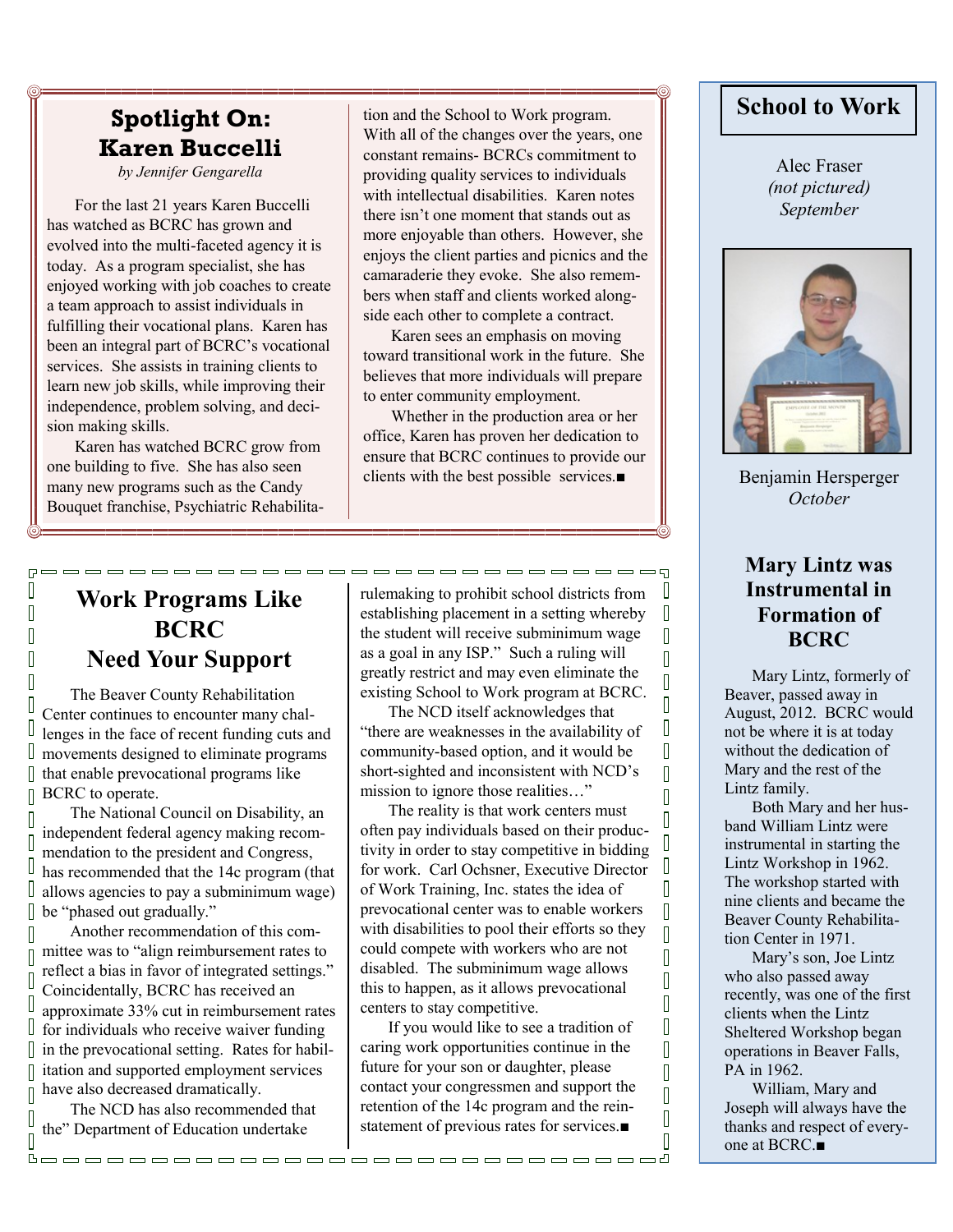# **Spotlight On: Karen Buccelli**

*by Jennifer Gengarella*

For the last 21 years Karen Buccelli has watched as BCRC has grown and evolved into the multi-faceted agency it is today. As a program specialist, she has enjoyed working with job coaches to create a team approach to assist individuals in fulfilling their vocational plans. Karen has been an integral part of BCRC's vocational services. She assists in training clients to learn new job skills, while improving their independence, problem solving, and decision making skills.

Karen has watched BCRC grow from one building to five. She has also seen many new programs such as the Candy Bouquet franchise, Psychiatric Rehabilita-

 $\Box$  $\overline{\mathbb{R}}$ 

 $\overline{\mathbb{R}}$ 

 $\overline{\mathbb{R}}$ 

 $\overline{\mathbb{R}}$ 

Π

П

D

D

D Ī

Π

D

I

 $\overline{\Pi}$ 

П

D

D

 $\overline{\mathbb{R}}$ 

 $[] \centering \includegraphics[width=0.47\textwidth]{images/TrDiM-Architecture.png} \caption{The 3D (top) and 4D (bottom) are shown in the left and right.} \label{TrDiM-Architecture}$ 

tion and the School to Work program. With all of the changes over the years, one constant remains- BCRCs commitment to providing quality services to individuals with intellectual disabilities. Karen notes there isn't one moment that stands out as more enjoyable than others. However, she enjoys the client parties and picnics and the camaraderie they evoke. She also remembers when staff and clients worked alongside each other to complete a contract.

Karen sees an emphasis on moving toward transitional work in the future. She believes that more individuals will prepare to enter community employment.

Whether in the production area or her office, Karen has proven her dedication to ensure that BCRC continues to provide our clients with the best possible services.■

## **Work Programs Like BCRC Need Your Support**

The Beaver County Rehabilitation Center continues to encounter many challenges in the face of recent funding cuts and movements designed to eliminate programs that enable prevocational programs like BCRC to operate.

The National Council on Disability, an independent federal agency making recommendation to the president and Congress, has recommended that the 14c program (that allows agencies to pay a subminimum wage) be "phased out gradually."

Another recommendation of this committee was to "align reimbursement rates to reflect a bias in favor of integrated settings." Coincidentally, BCRC has received an approximate 33% cut in reimbursement rates for individuals who receive waiver funding in the prevocational setting. Rates for habilitation and supported employment services have also decreased dramatically.

The NCD has also recommended that the" Department of Education undertake

rulemaking to prohibit school districts from establishing placement in a setting whereby the student will receive subminimum wage as a goal in any ISP." Such a ruling will greatly restrict and may even eliminate the existing School to Work program at BCRC.

-----------------------------

The NCD itself acknowledges that "there are weaknesses in the availability of community-based option, and it would be short-sighted and inconsistent with NCD's mission to ignore those realities…"

The reality is that work centers must often pay individuals based on their productivity in order to stay competitive in bidding for work. Carl Ochsner, Executive Director of Work Training, Inc. states the idea of prevocational center was to enable workers with disabilities to pool their efforts so they could compete with workers who are not disabled. The subminimum wage allows this to happen, as it allows prevocational centers to stay competitive.

If you would like to see a tradition of caring work opportunities continue in the future for your son or daughter, please contact your congressmen and support the retention of the 14c program and the reinstatement of previous rates for services.■

### **School to Work**

Alec Fraser *(not pictured) September*



Benjamin Hersperger *October*

#### **Mary Lintz was Instrumental in Formation of BCRC**

 $\sqrt{ }$ 

 $\sqrt{2}$ 

 $\sqrt{2}$  $\overline{\mathbb{R}}$ 

 $\begin{bmatrix} 1 \\ 2 \end{bmatrix}$ 

 $\overline{\mathbb{R}}$ 

 $\sqrt{2}$ 

 $\Box$ 

 $\overline{\mathbb{R}}$ 

 $\overline{\mathbb{I}}$  $\sqrt{2}$  $\Box$  $\begin{bmatrix} 1 \\ 2 \end{bmatrix}$ 

 $\sqrt{ }$ 

 $\overline{\mathbb{R}}$ 

 $\sqrt{2}$ 

 $\overline{\mathbb{R}}$  $\overline{\mathbb{I}}$  $\begin{bmatrix} 1 \\ 2 \end{bmatrix}$ 

 $\begin{bmatrix} 1 \\ 2 \end{bmatrix}$ 

 $\overline{\mathbb{I}}$ 

 $\begin{bmatrix} 1 \\ 2 \end{bmatrix}$ 

 $\overline{\mathbb{I}}$  $\begin{bmatrix} 1 \\ 1 \end{bmatrix}$  $\overline{\Pi}$ 

Mary Lintz, formerly of Beaver, passed away in August, 2012. BCRC would not be where it is at today without the dedication of Mary and the rest of the Lintz family.

Both Mary and her husband William Lintz were instrumental in starting the Lintz Workshop in 1962. The workshop started with nine clients and became the Beaver County Rehabilitation Center in 1971.

Mary's son, Joe Lintz who also passed away recently, was one of the first clients when the Lintz Sheltered Workshop began operations in Beaver Falls, PA in 1962.

William, Mary and Joseph will always have the thanks and respect of everyone at BCRC.■